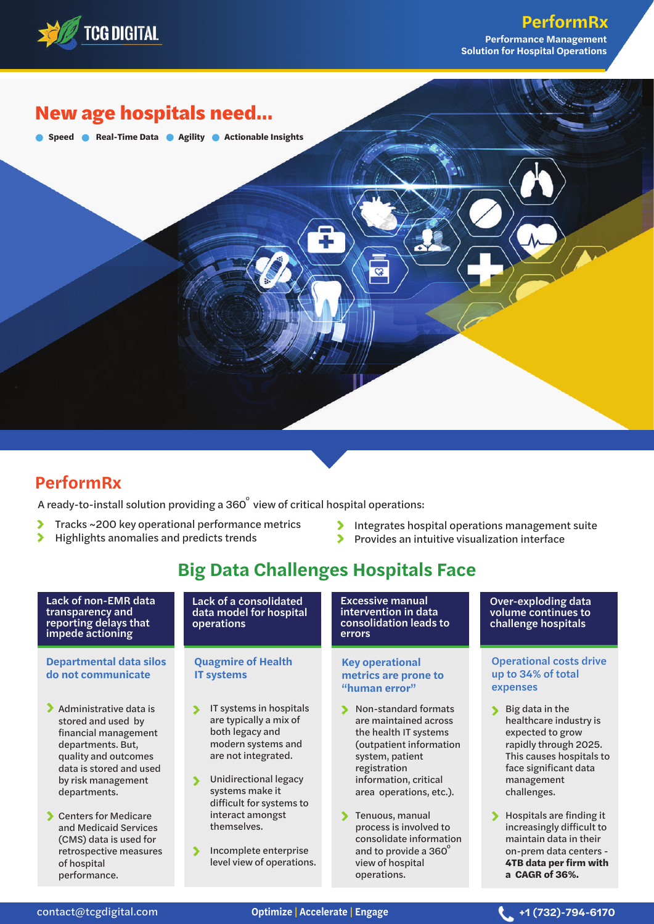

## New age hospitals need…

**Speed • Real-Time Data • Agility • Actionable Insights** 

### **PerformRx**

A ready-to-install solution providing a 360 $\degree$  view of critical hospital operations:

- $\overline{\phantom{0}}$ Tracks ~200 key operational performance metrics
- $\blacktriangleright$ Highlights anomalies and predicts trends
- $\blacktriangleright$ Integrates hospital operations management suite
- N Provides an intuitive visualization interface

# **Big Data Challenges Hospitals Face**

Lack of non-EMR data transparency and reporting delays that impede actioning

**Departmental data silos do not communicate**

- Administrative data is stored and used by financial management departments. But, quality and outcomes data is stored and used by risk management departments.
- Centers for Medicare and Medicaid Services (CMS) data is used for retrospective measures of hospital performance.

Lack of a consolidated data model for hospital operations

#### **Quagmire of Health IT systems**

- IT systems in hospitals are typically a mix of both legacy and modern systems and are not integrated.
- Unidirectional legacy systems make it difficult for systems to interact amongst themselves.
- Incomplete enterprise level view of operations.

Excessive manual intervention in data consolidation leads to errors

 $\overline{a}$ 

#### **Key operational metrics are prone to "human error"**

- Non-standard formats are maintained across the health IT systems (outpatient information system, patient registration information, critical area operations, etc.).
- Tenuous, manual process is involved to consolidate information and to provide a 360 $^{\circ}$ view of hospital operations.

#### Over-exploding data volume continues to challenge hospitals

#### Operational costs drive up to 34% of total expenses

- Big data in the healthcare industry is expected to grow rapidly through 2025. This causes hospitals to face significant data management challenges.
- Hospitals are finding it increasingly difficult to maintain data in their on-prem data centers - **4TB data per firm with a CAGR of 36%.**

contact@tcgdigital.com **Optimize | Accelerate | Engage +1 (732)-794-6170**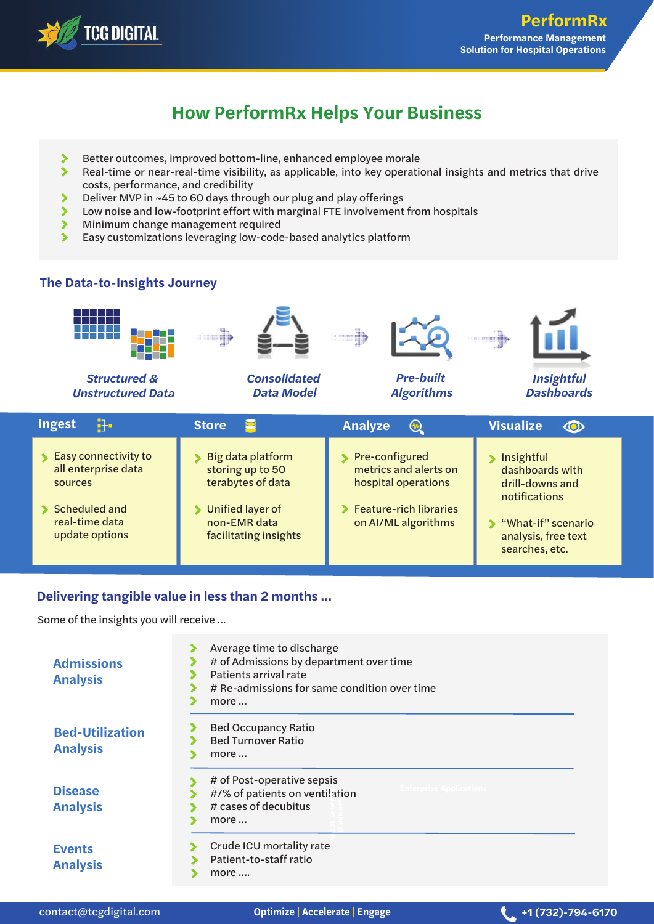

## **How PerformRx Helps Your Business**

- $\blacktriangleright$ Better outcomes, improved bottom-line, enhanced employee morale
- $\blacktriangleright$ Real-time or near-real-time visibility, as applicable, into key operational insights and metrics that drive costs, performance, and credibility
- Deliver MVP in ~45 to 60 days through our plug and play offerings
- Low noise and low-footprint effort with marginal FTE involvement from hospitals
- Minimum change management required
- Easy customizations leveraging low-code-based analytics platform

### **The Data-to-Insights Journey**



*Structured & Unstructured Data*





*Consolidated Data Model*

*Pre-built Algorithms*



*Insightful Dashboards*

| ÷.                   | Ε                       | <b>Analyze</b>                | <b>Visualize</b>                      |
|----------------------|-------------------------|-------------------------------|---------------------------------------|
| <b>Ingest</b>        | <b>Store</b>            | ⊛                             | ൕ                                     |
| Easy connectivity to | Big data platform       | Pre-configured                | Insightful                            |
| all enterprise data  | storing up to 50        | metrics and alerts on         | dashboards with                       |
| sources              | terabytes of data       | hospital operations           | drill-downs and                       |
| Scheduled and        | <b>Unified layer of</b> | <b>Feature-rich libraries</b> | notifications                         |
| real-time data       | non-EMR data            | on AI/ML algorithms           | "What-if" scenario                    |
| update options       | facilitating insights   |                               | analysis, free text<br>searches, etc. |

### **Delivering tangible value in less than 2 months …**

Some of the insights you will receive …

| <b>Admissions</b><br><b>Analysis</b>      | Average time to discharge<br># of Admissions by department over time<br>Patients arrival rate<br># Re-admissions for same condition over time<br>more |
|-------------------------------------------|-------------------------------------------------------------------------------------------------------------------------------------------------------|
| <b>Bed-Utilization</b><br><b>Analysis</b> | <b>Bed Occupancy Ratio</b><br><b>Bed Turnover Ratio</b><br>more                                                                                       |
| <b>Disease</b><br><b>Analysis</b>         | # of Post-operative sepsis<br><b>Enterprise Applications</b><br>#/% of patients on ventilation<br># cases of decubitus<br>more                        |
| <b>Events</b><br><b>Analysis</b>          | Crude ICU mortality rate<br>Patient-to-staff ratio<br>more                                                                                            |